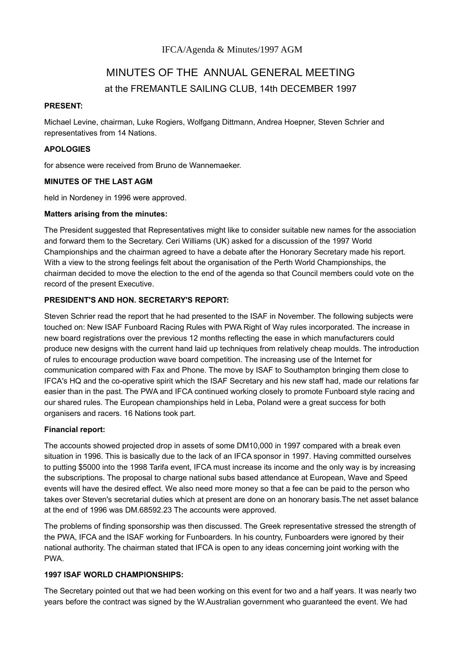# MINUTES OF THE ANNUAL GENERAL MEETING at the FREMANTLE SAILING CLUB, 14th DECEMBER 1997

#### **PRESENT:**

Michael Levine, chairman, Luke Rogiers, Wolfgang Dittmann, Andrea Hoepner, Steven Schrier and representatives from 14 Nations.

#### **APOLOGIES**

for absence were received from Bruno de Wannemaeker.

#### **MINUTES OF THE LAST AGM**

held in Nordeney in 1996 were approved.

#### **Matters arising from the minutes:**

The President suggested that Representatives might like to consider suitable new names for the association and forward them to the Secretary. Ceri Williams (UK) asked for a discussion of the 1997 World Championships and the chairman agreed to have a debate after the Honorary Secretary made his report. With a view to the strong feelings felt about the organisation of the Perth World Championships, the chairman decided to move the election to the end of the agenda so that Council members could vote on the record of the present Executive.

# **PRESIDENT'S AND HON. SECRETARY'S REPORT:**

Steven Schrier read the report that he had presented to the ISAF in November. The following subjects were touched on: New ISAF Funboard Racing Rules with PWA Right of Way rules incorporated. The increase in new board registrations over the previous 12 months reflecting the ease in which manufacturers could produce new designs with the current hand laid up techniques from relatively cheap moulds. The introduction of rules to encourage production wave board competition. The increasing use of the Internet for communication compared with Fax and Phone. The move by ISAF to Southampton bringing them close to IFCA's HQ and the co-operative spirit which the ISAF Secretary and his new staff had, made our relations far easier than in the past. The PWA and IFCA continued working closely to promote Funboard style racing and our shared rules. The European championships held in Leba, Poland were a great success for both organisers and racers. 16 Nations took part.

# **Financial report:**

The accounts showed projected drop in assets of some DM10,000 in 1997 compared with a break even situation in 1996. This is basically due to the lack of an IFCA sponsor in 1997. Having committed ourselves to putting \$5000 into the 1998 Tarifa event, IFCA must increase its income and the only way is by increasing the subscriptions. The proposal to charge national subs based attendance at European, Wave and Speed events will have the desired effect. We also need more money so that a fee can be paid to the person who takes over Steven's secretarial duties which at present are done on an honorary basis.The net asset balance at the end of 1996 was DM.68592.23 The accounts were approved.

The problems of finding sponsorship was then discussed. The Greek representative stressed the strength of the PWA, IFCA and the ISAF working for Funboarders. In his country, Funboarders were ignored by their national authority. The chairman stated that IFCA is open to any ideas concerning joint working with the PWA.

#### **1997 ISAF WORLD CHAMPIONSHIPS:**

The Secretary pointed out that we had been working on this event for two and a half years. It was nearly two years before the contract was signed by the W.Australian government who guaranteed the event. We had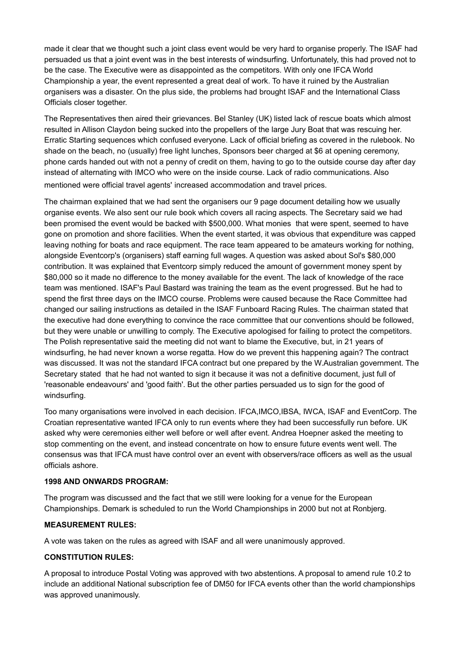made it clear that we thought such a joint class event would be very hard to organise properly. The ISAF had persuaded us that a joint event was in the best interests of windsurfing. Unfortunately, this had proved not to be the case. The Executive were as disappointed as the competitors. With only one IFCA World Championship a year, the event represented a great deal of work. To have it ruined by the Australian organisers was a disaster. On the plus side, the problems had brought ISAF and the International Class Officials closer together.

The Representatives then aired their grievances. Bel Stanley (UK) listed lack of rescue boats which almost resulted in Allison Claydon being sucked into the propellers of the large Jury Boat that was rescuing her. Erratic Starting sequences which confused everyone. Lack of official briefing as covered in the rulebook. No shade on the beach, no (usually) free light lunches, Sponsors beer charged at \$6 at opening ceremony, phone cards handed out with not a penny of credit on them, having to go to the outside course day after day instead of alternating with IMCO who were on the inside course. Lack of radio communications. Also mentioned were official travel agents' increased accommodation and travel prices.

The chairman explained that we had sent the organisers our 9 page document detailing how we usually organise events. We also sent our rule book which covers all racing aspects. The Secretary said we had been promised the event would be backed with \$500,000. What monies that were spent, seemed to have gone on promotion and shore facilities. When the event started, it was obvious that expenditure was capped leaving nothing for boats and race equipment. The race team appeared to be amateurs working for nothing, alongside Eventcorp's (organisers) staff earning full wages. A question was asked about Sol's \$80,000 contribution. It was explained that Eventcorp simply reduced the amount of government money spent by \$80,000 so it made no difference to the money available for the event. The lack of knowledge of the race team was mentioned. ISAF's Paul Bastard was training the team as the event progressed. But he had to spend the first three days on the IMCO course. Problems were caused because the Race Committee had changed our sailing instructions as detailed in the ISAF Funboard Racing Rules. The chairman stated that the executive had done everything to convince the race committee that our conventions should be followed, but they were unable or unwilling to comply. The Executive apologised for failing to protect the competitors. The Polish representative said the meeting did not want to blame the Executive, but, in 21 years of windsurfing, he had never known a worse regatta. How do we prevent this happening again? The contract was discussed. It was not the standard IFCA contract but one prepared by the W.Australian government. The Secretary stated that he had not wanted to sign it because it was not a definitive document, just full of 'reasonable endeavours' and 'good faith'. But the other parties persuaded us to sign for the good of windsurfing.

Too many organisations were involved in each decision. IFCA,IMCO,IBSA, IWCA, ISAF and EventCorp. The Croatian representative wanted IFCA only to run events where they had been successfully run before. UK asked why were ceremonies either well before or well after event. Andrea Hoepner asked the meeting to stop commenting on the event, and instead concentrate on how to ensure future events went well. The consensus was that IFCA must have control over an event with observers/race officers as well as the usual officials ashore.

# **1998 AND ONWARDS PROGRAM:**

The program was discussed and the fact that we still were looking for a venue for the European Championships. Demark is scheduled to run the World Championships in 2000 but not at Ronbjerg.

# **MEASUREMENT RULES:**

A vote was taken on the rules as agreed with ISAF and all were unanimously approved.

# **CONSTITUTION RULES:**

A proposal to introduce Postal Voting was approved with two abstentions. A proposal to amend rule 10.2 to include an additional National subscription fee of DM50 for IFCA events other than the world championships was approved unanimously.